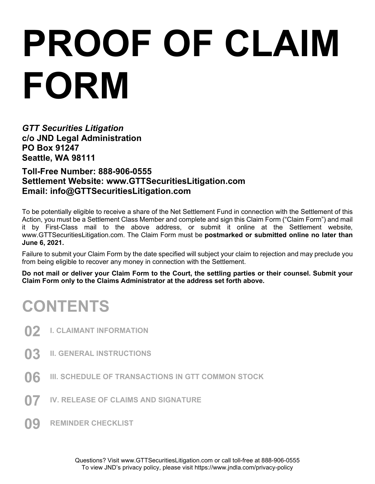# **PROOF OF CLAIM FORM**

*GTT Securities Litigation*  **c/o JND Legal Administration PO Box 91247 Seattle, WA 98111** 

**Toll-Free Number: 888-906-0555 Settlement Website: www.GTTSecuritiesLitigation.com Email: info@GTTSecuritiesLitigation.com**

To be potentially eligible to receive a share of the Net Settlement Fund in connection with the Settlement of this Action, you must be a Settlement Class Member and complete and sign this Claim Form ("Claim Form") and mail it by First-Class mail to the above address, or submit it online at the Settlement website, www.GTTSecuritiesLitigation.com. The Claim Form must be **postmarked or submitted online no later than June 6, 2021.** 

Failure to submit your Claim Form by the date specified will subject your claim to rejection and may preclude you from being eligible to recover any money in connection with the Settlement.

**Do not mail or deliver your Claim Form to the Court, the settling parties or their counsel. Submit your Claim Form only to the Claims Administrator at the address set forth above.** 

### **CONTENTS**

- **02 I. CLAIMANT INFORMATION**
- **03 II. GENERAL INSTRUCTIONS**
- **06 III. SCHEDULE OF TRANSACTIONS IN GTT COMMON STOCK**
- **07 IV. RELEASE OF CLAIMS AND SIGNATURE**
- **09 REMINDER CHECKLIST**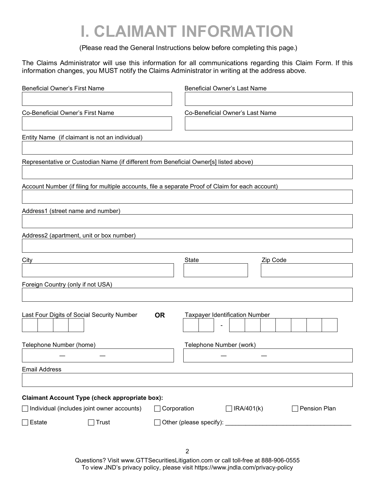### **I. CLAIMANT INFORMATION**

(Please read the General Instructions below before completing this page.)

The Claims Administrator will use this information for all communications regarding this Claim Form. If this information changes, you MUST notify the Claims Administrator in writing at the address above.

| <b>Beneficial Owner's First Name</b>                                                              | <b>Beneficial Owner's Last Name</b>         |
|---------------------------------------------------------------------------------------------------|---------------------------------------------|
|                                                                                                   |                                             |
| Co-Beneficial Owner's First Name                                                                  | Co-Beneficial Owner's Last Name             |
|                                                                                                   |                                             |
| Entity Name (if claimant is not an individual)                                                    |                                             |
|                                                                                                   |                                             |
| Representative or Custodian Name (if different from Beneficial Owner[s] listed above)             |                                             |
|                                                                                                   |                                             |
| Account Number (if filing for multiple accounts, file a separate Proof of Claim for each account) |                                             |
|                                                                                                   |                                             |
| Address1 (street name and number)                                                                 |                                             |
|                                                                                                   |                                             |
| Address2 (apartment, unit or box number)                                                          |                                             |
|                                                                                                   |                                             |
| City                                                                                              | Zip Code<br>State                           |
|                                                                                                   |                                             |
| Foreign Country (only if not USA)                                                                 |                                             |
|                                                                                                   |                                             |
|                                                                                                   |                                             |
| Last Four Digits of Social Security Number<br><b>OR</b>                                           | <b>Taxpayer Identification Number</b>       |
|                                                                                                   |                                             |
| Telephone Number (home)                                                                           | Telephone Number (work)                     |
|                                                                                                   |                                             |
| <b>Email Address</b>                                                                              |                                             |
|                                                                                                   |                                             |
| <b>Claimant Account Type (check appropriate box):</b>                                             |                                             |
| $\Box$ Individual (includes joint owner accounts)                                                 | Corporation<br>] IRA/401(k)<br>Pension Plan |
| $\Box$ Estate<br>Trust                                                                            |                                             |
|                                                                                                   |                                             |
|                                                                                                   |                                             |
|                                                                                                   | $\overline{2}$                              |

Questions? Visit www.GTTSecuritiesLitigation.com or call toll-free at 888-906-0555 To view JND's privacy policy, please visit https://www.jndla.com/privacy-policy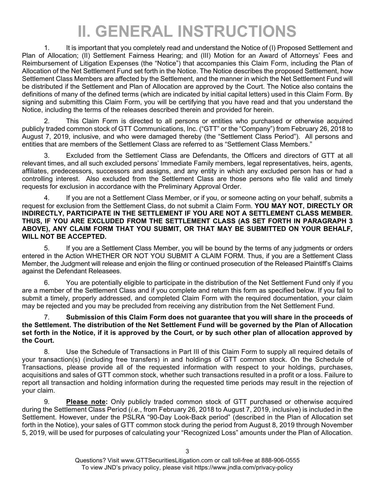## **II. GENERAL INSTRUCTIONS**

1. It is important that you completely read and understand the Notice of (I) Proposed Settlement and Plan of Allocation; (II) Settlement Fairness Hearing; and (III) Motion for an Award of Attorneys' Fees and Reimbursement of Litigation Expenses (the "Notice") that accompanies this Claim Form, including the Plan of Allocation of the Net Settlement Fund set forth in the Notice. The Notice describes the proposed Settlement, how Settlement Class Members are affected by the Settlement, and the manner in which the Net Settlement Fund will be distributed if the Settlement and Plan of Allocation are approved by the Court. The Notice also contains the definitions of many of the defined terms (which are indicated by initial capital letters) used in this Claim Form. By signing and submitting this Claim Form, you will be certifying that you have read and that you understand the Notice, including the terms of the releases described therein and provided for herein.

2. This Claim Form is directed to all persons or entities who purchased or otherwise acquired publicly traded common stock of GTT Communications, Inc. ("GTT" or the "Company") from February 26, 2018 to August 7, 2019, inclusive, and who were damaged thereby (the "Settlement Class Period"). All persons and entities that are members of the Settlement Class are referred to as "Settlement Class Members."

3. Excluded from the Settlement Class are Defendants, the Officers and directors of GTT at all relevant times, and all such excluded persons' Immediate Family members, legal representatives, heirs, agents, affiliates, predecessors, successors and assigns, and any entity in which any excluded person has or had a controlling interest. Also excluded from the Settlement Class are those persons who file valid and timely requests for exclusion in accordance with the Preliminary Approval Order.

4. If you are not a Settlement Class Member, or if you, or someone acting on your behalf, submits a request for exclusion from the Settlement Class, do not submit a Claim Form. **YOU MAY NOT, DIRECTLY OR INDIRECTLY, PARTICIPATE IN THE SETTLEMENT IF YOU ARE NOT A SETTLEMENT CLASS MEMBER. THUS, IF YOU ARE EXCLUDED FROM THE SETTLEMENT CLASS (AS SET FORTH IN PARAGRAPH 3 ABOVE), ANY CLAIM FORM THAT YOU SUBMIT, OR THAT MAY BE SUBMITTED ON YOUR BEHALF, WILL NOT BE ACCEPTED.** 

5. If you are a Settlement Class Member, you will be bound by the terms of any judgments or orders entered in the Action WHETHER OR NOT YOU SUBMIT A CLAIM FORM. Thus, if you are a Settlement Class Member, the Judgment will release and enjoin the filing or continued prosecution of the Released Plaintiff's Claims against the Defendant Releasees.

6. You are potentially eligible to participate in the distribution of the Net Settlement Fund only if you are a member of the Settlement Class and if you complete and return this form as specified below. If you fail to submit a timely, properly addressed, and completed Claim Form with the required documentation, your claim may be rejected and you may be precluded from receiving any distribution from the Net Settlement Fund.

#### 7. **Submission of this Claim Form does not guarantee that you will share in the proceeds of the Settlement. The distribution of the Net Settlement Fund will be governed by the Plan of Allocation set forth in the Notice, if it is approved by the Court, or by such other plan of allocation approved by the Court.**

8. Use the Schedule of Transactions in Part III of this Claim Form to supply all required details of your transaction(s) (including free transfers) in and holdings of GTT common stock. On the Schedule of Transactions, please provide all of the requested information with respect to your holdings, purchases, acquisitions and sales of GTT common stock, whether such transactions resulted in a profit or a loss. Failure to report all transaction and holding information during the requested time periods may result in the rejection of your claim.

9. **Please note:** Only publicly traded common stock of GTT purchased or otherwise acquired during the Settlement Class Period (*i.e.*, from February 26, 2018 to August 7, 2019, inclusive) is included in the Settlement. However, under the PSLRA "90-Day Look-Back period" (described in the Plan of Allocation set forth in the Notice), your sales of GTT common stock during the period from August 8, 2019 through November 5, 2019, will be used for purposes of calculating your "Recognized Loss" amounts under the Plan of Allocation.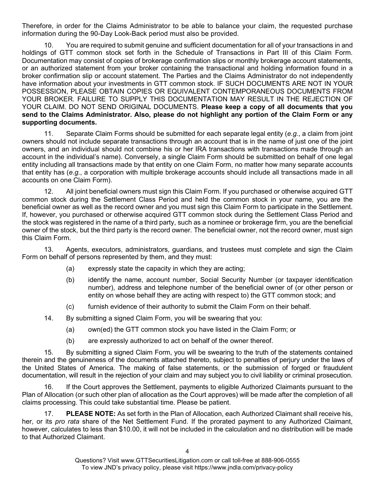Therefore, in order for the Claims Administrator to be able to balance your claim, the requested purchase information during the 90-Day Look-Back period must also be provided.

10. You are required to submit genuine and sufficient documentation for all of your transactions in and holdings of GTT common stock set forth in the Schedule of Transactions in Part III of this Claim Form. Documentation may consist of copies of brokerage confirmation slips or monthly brokerage account statements, or an authorized statement from your broker containing the transactional and holding information found in a broker confirmation slip or account statement. The Parties and the Claims Administrator do not independently have information about your investments in GTT common stock. IF SUCH DOCUMENTS ARE NOT IN YOUR POSSESSION, PLEASE OBTAIN COPIES OR EQUIVALENT CONTEMPORANEOUS DOCUMENTS FROM YOUR BROKER. FAILURE TO SUPPLY THIS DOCUMENTATION MAY RESULT IN THE REJECTION OF YOUR CLAIM. DO NOT SEND ORIGINAL DOCUMENTS. **Please keep a copy of all documents that you send to the Claims Administrator. Also, please do not highlight any portion of the Claim Form or any supporting documents.**

11. Separate Claim Forms should be submitted for each separate legal entity (*e.g.*, a claim from joint owners should not include separate transactions through an account that is in the name of just one of the joint owners, and an individual should not combine his or her IRA transactions with transactions made through an account in the individual's name). Conversely, a single Claim Form should be submitted on behalf of one legal entity including all transactions made by that entity on one Claim Form, no matter how many separate accounts that entity has (*e.g.*, a corporation with multiple brokerage accounts should include all transactions made in all accounts on one Claim Form).

12. All joint beneficial owners must sign this Claim Form. If you purchased or otherwise acquired GTT common stock during the Settlement Class Period and held the common stock in your name, you are the beneficial owner as well as the record owner and you must sign this Claim Form to participate in the Settlement. If, however, you purchased or otherwise acquired GTT common stock during the Settlement Class Period and the stock was registered in the name of a third party, such as a nominee or brokerage firm, you are the beneficial owner of the stock, but the third party is the record owner. The beneficial owner, not the record owner, must sign this Claim Form.

13. Agents, executors, administrators, guardians, and trustees must complete and sign the Claim Form on behalf of persons represented by them, and they must:

- (a) expressly state the capacity in which they are acting;
- (b) identify the name, account number, Social Security Number (or taxpayer identification number), address and telephone number of the beneficial owner of (or other person or entity on whose behalf they are acting with respect to) the GTT common stock; and
- (c) furnish evidence of their authority to submit the Claim Form on their behalf.
- 14. By submitting a signed Claim Form, you will be swearing that you:
	- (a) own(ed) the GTT common stock you have listed in the Claim Form; or
	- (b) are expressly authorized to act on behalf of the owner thereof.

15. By submitting a signed Claim Form, you will be swearing to the truth of the statements contained therein and the genuineness of the documents attached thereto, subject to penalties of perjury under the laws of the United States of America. The making of false statements, or the submission of forged or fraudulent documentation, will result in the rejection of your claim and may subject you to civil liability or criminal prosecution.

16. If the Court approves the Settlement, payments to eligible Authorized Claimants pursuant to the Plan of Allocation (or such other plan of allocation as the Court approves) will be made after the completion of all claims processing. This could take substantial time. Please be patient.

17. **PLEASE NOTE:** As set forth in the Plan of Allocation, each Authorized Claimant shall receive his, her, or its *pro rata* share of the Net Settlement Fund. If the prorated payment to any Authorized Claimant, however, calculates to less than \$10.00, it will not be included in the calculation and no distribution will be made to that Authorized Claimant.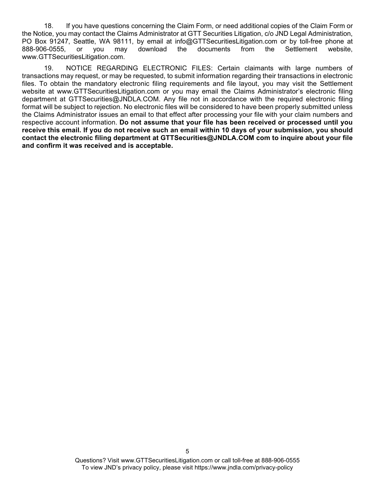18. If you have questions concerning the Claim Form, or need additional copies of the Claim Form or the Notice, you may contact the Claims Administrator at GTT Securities Litigation, c/o JND Legal Administration, PO Box 91247, Seattle, WA 98111, by email at info@GTTSecuritiesLitigation.com or by toll-free phone at 888-906-0555, or you may download the documents from the Settlement website. 888-906-0555, or you may download the documents from the Settlement website, www.GTTSecuritiesLitigation.com.

19. NOTICE REGARDING ELECTRONIC FILES: Certain claimants with large numbers of transactions may request, or may be requested, to submit information regarding their transactions in electronic files. To obtain the mandatory electronic filing requirements and file layout, you may visit the Settlement website at www.GTTSecuritiesLitigation.com or you may email the Claims Administrator's electronic filing department at GTTSecurities@JNDLA.COM. Any file not in accordance with the required electronic filing format will be subject to rejection. No electronic files will be considered to have been properly submitted unless the Claims Administrator issues an email to that effect after processing your file with your claim numbers and respective account information. **Do not assume that your file has been received or processed until you receive this email. If you do not receive such an email within 10 days of your submission, you should contact the electronic filing department at GTTSecurities@JNDLA.COM com to inquire about your file and confirm it was received and is acceptable.**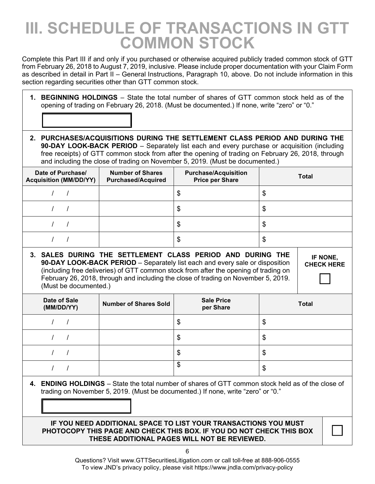### **III. SCHEDULE OF TRANSACTIONS IN GTT COMMON STOCK**

Complete this Part III if and only if you purchased or otherwise acquired publicly traded common stock of GTT from February 26, 2018 to August 7, 2019, inclusive. Please include proper documentation with your Claim Form as described in detail in Part II – General Instructions, Paragraph 10, above. Do not include information in this section regarding securities other than GTT common stock.

- **1. BEGINNING HOLDINGS**  State the total number of shares of GTT common stock held as of the opening of trading on February 26, 2018. (Must be documented.) If none, write "zero" or "0."
- **2. PURCHASES/ACQUISITIONS DURING THE SETTLEMENT CLASS PERIOD AND DURING THE 90-DAY LOOK-BACK PERIOD** – Separately list each and every purchase or acquisition (including free receipts) of GTT common stock from after the opening of trading on February 26, 2018, through and including the close of trading on November 5, 2019. (Must be documented.)

| Date of Purchase/<br><b>Acquisition (MM/DD/YY)</b> | <b>Number of Shares</b><br><b>Purchased/Acquired</b> | <b>Purchase/Acquisition</b><br><b>Price per Share</b> | <b>Total</b> |
|----------------------------------------------------|------------------------------------------------------|-------------------------------------------------------|--------------|
|                                                    |                                                      | Φ                                                     | \$           |
|                                                    |                                                      | \$                                                    | \$           |
|                                                    |                                                      | \$                                                    | \$           |
|                                                    |                                                      | S                                                     | \$           |

**3. SALES DURING THE SETTLEMENT CLASS PERIOD AND DURING THE 90-DAY LOOK-BACK PERIOD** – Separately list each and every sale or disposition (including free deliveries) of GTT common stock from after the opening of trading on February 26, 2018, through and including the close of trading on November 5, 2019. (Must be documented.)

| Date of Sale<br>(MM/DD/YY) | <b>Number of Shares Sold</b> | <b>Sale Price</b><br>per Share | <b>Total</b> |
|----------------------------|------------------------------|--------------------------------|--------------|
|                            |                              | \$                             | \$           |
|                            |                              | \$                             | \$           |
|                            |                              | \$                             | \$           |
|                            |                              | \$                             | \$           |

**4. ENDING HOLDINGS** – State the total number of shares of GTT common stock held as of the close of trading on November 5, 2019. (Must be documented.) If none, write "zero" or "0."

#### **IF YOU NEED ADDITIONAL SPACE TO LIST YOUR TRANSACTIONS YOU MUST PHOTOCOPY THIS PAGE AND CHECK THIS BOX. IF YOU DO NOT CHECK THIS BOX THESE ADDITIONAL PAGES WILL NOT BE REVIEWED.**

 $\Box$ 

**IF NONE, CHECK HERE** 

 $\Box$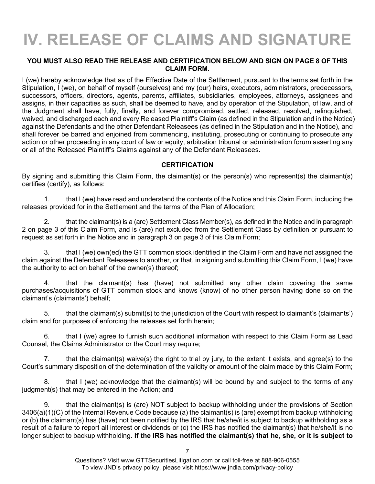## **IV. RELEASE OF CLAIMS AND SIGNATURE**

#### **YOU MUST ALSO READ THE RELEASE AND CERTIFICATION BELOW AND SIGN ON PAGE 8 OF THIS CLAIM FORM.**

I (we) hereby acknowledge that as of the Effective Date of the Settlement, pursuant to the terms set forth in the Stipulation, I (we), on behalf of myself (ourselves) and my (our) heirs, executors, administrators, predecessors, successors, officers, directors, agents, parents, affiliates, subsidiaries, employees, attorneys, assignees and assigns, in their capacities as such, shall be deemed to have, and by operation of the Stipulation, of law, and of the Judgment shall have, fully, finally, and forever compromised, settled, released, resolved, relinquished, waived, and discharged each and every Released Plaintiff's Claim (as defined in the Stipulation and in the Notice) against the Defendants and the other Defendant Releasees (as defined in the Stipulation and in the Notice), and shall forever be barred and enjoined from commencing, instituting, prosecuting or continuing to prosecute any action or other proceeding in any court of law or equity, arbitration tribunal or administration forum asserting any or all of the Released Plaintiff's Claims against any of the Defendant Releasees.

#### **CERTIFICATION**

By signing and submitting this Claim Form, the claimant(s) or the person(s) who represent(s) the claimant(s) certifies (certify), as follows:

1. that I (we) have read and understand the contents of the Notice and this Claim Form, including the releases provided for in the Settlement and the terms of the Plan of Allocation;

2. that the claimant(s) is a (are) Settlement Class Member(s), as defined in the Notice and in paragraph 2 on page 3 of this Claim Form, and is (are) not excluded from the Settlement Class by definition or pursuant to request as set forth in the Notice and in paragraph 3 on page 3 of this Claim Form;

3. that I (we) own(ed) the GTT common stock identified in the Claim Form and have not assigned the claim against the Defendant Releasees to another, or that, in signing and submitting this Claim Form, I (we) have the authority to act on behalf of the owner(s) thereof;

4. that the claimant(s) has (have) not submitted any other claim covering the same purchases/acquisitions of GTT common stock and knows (know) of no other person having done so on the claimant's (claimants') behalf;

5. that the claimant(s) submit(s) to the jurisdiction of the Court with respect to claimant's (claimants') claim and for purposes of enforcing the releases set forth herein;

6. that I (we) agree to furnish such additional information with respect to this Claim Form as Lead Counsel, the Claims Administrator or the Court may require;

7. that the claimant(s) waive(s) the right to trial by jury, to the extent it exists, and agree(s) to the Court's summary disposition of the determination of the validity or amount of the claim made by this Claim Form;

8. that I (we) acknowledge that the claimant(s) will be bound by and subject to the terms of any judgment(s) that may be entered in the Action; and

9. that the claimant(s) is (are) NOT subject to backup withholding under the provisions of Section 3406(a)(1)(C) of the Internal Revenue Code because (a) the claimant(s) is (are) exempt from backup withholding or (b) the claimant(s) has (have) not been notified by the IRS that he/she/it is subject to backup withholding as a result of a failure to report all interest or dividends or (c) the IRS has notified the claimant(s) that he/she/it is no longer subject to backup withholding. **If the IRS has notified the claimant(s) that he, she, or it is subject to**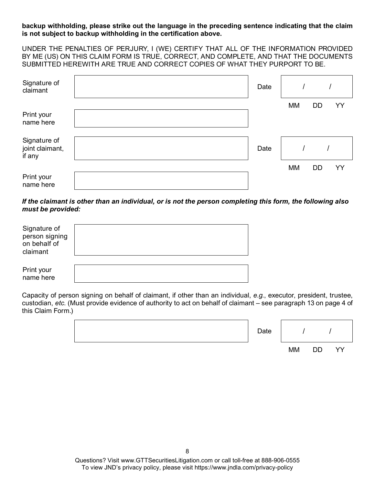**backup withholding, please strike out the language in the preceding sentence indicating that the claim is not subject to backup withholding in the certification above.**

UNDER THE PENALTIES OF PERJURY, I (WE) CERTIFY THAT ALL OF THE INFORMATION PROVIDED BY ME (US) ON THIS CLAIM FORM IS TRUE, CORRECT, AND COMPLETE, AND THAT THE DOCUMENTS SUBMITTED HEREWITH ARE TRUE AND CORRECT COPIES OF WHAT THEY PURPORT TO BE.

| Signature of<br>claimant                  | Date |    |           |    |
|-------------------------------------------|------|----|-----------|----|
| Print your<br>name here                   |      | MM | <b>DD</b> | YY |
| Signature of<br>joint claimant,<br>if any | Date |    |           |    |
| Print your<br>name here                   |      | MM | DD        | YY |

*If the claimant is other than an individual, or is not the person completing this form, the following also must be provided:*

| Signature of<br>person signing<br>on behalf of<br>claimant |  |
|------------------------------------------------------------|--|
| Print your<br>name here                                    |  |

Capacity of person signing on behalf of claimant, if other than an individual, *e.g.*, executor, president, trustee, custodian, *etc*. (Must provide evidence of authority to act on behalf of claimant – see paragraph 13 on page 4 of this Claim Form.)

| Date |           |         |   |
|------|-----------|---------|---|
|      | <b>MM</b> | חח<br>◡ | Ŵ |